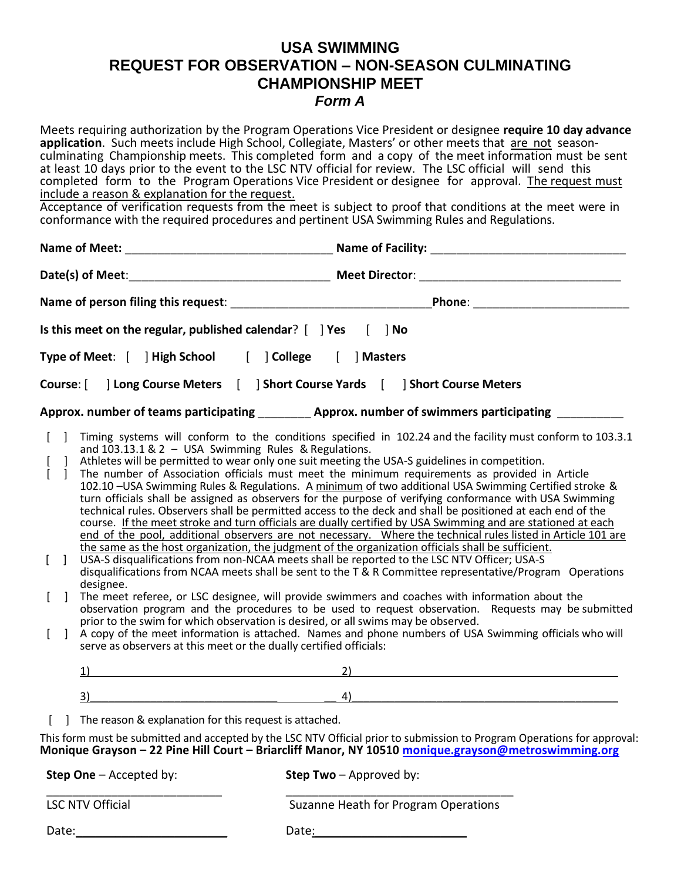# **USA SWIMMING REQUEST FOR OBSERVATION – NON-SEASON CULMINATING CHAMPIONSHIP MEET** *Form A*

|                                                                                                                                           | include a reason & explanation for the request.                                                                               | Meets requiring authorization by the Program Operations Vice President or designee require 10 day advance<br>application. Such meets include High School, Collegiate, Masters' or other meets that are not season-<br>culminating Championship meets. This completed form and a copy of the meet information must be sent<br>at least 10 days prior to the event to the LSC NTV official for review. The LSC official will send this<br>completed form to the Program Operations Vice President or designee for approval. The request must<br>Acceptance of verification requests from the meet is subject to proof that conditions at the meet were in<br>conformance with the required procedures and pertinent USA Swimming Rules and Regulations.                                                                                                                                                                                                                                                                                                                                                                                                                                                                                                                                                                                                                                                                                                                                                                                                                                                       |
|-------------------------------------------------------------------------------------------------------------------------------------------|-------------------------------------------------------------------------------------------------------------------------------|-------------------------------------------------------------------------------------------------------------------------------------------------------------------------------------------------------------------------------------------------------------------------------------------------------------------------------------------------------------------------------------------------------------------------------------------------------------------------------------------------------------------------------------------------------------------------------------------------------------------------------------------------------------------------------------------------------------------------------------------------------------------------------------------------------------------------------------------------------------------------------------------------------------------------------------------------------------------------------------------------------------------------------------------------------------------------------------------------------------------------------------------------------------------------------------------------------------------------------------------------------------------------------------------------------------------------------------------------------------------------------------------------------------------------------------------------------------------------------------------------------------------------------------------------------------------------------------------------------------|
|                                                                                                                                           |                                                                                                                               |                                                                                                                                                                                                                                                                                                                                                                                                                                                                                                                                                                                                                                                                                                                                                                                                                                                                                                                                                                                                                                                                                                                                                                                                                                                                                                                                                                                                                                                                                                                                                                                                             |
|                                                                                                                                           |                                                                                                                               |                                                                                                                                                                                                                                                                                                                                                                                                                                                                                                                                                                                                                                                                                                                                                                                                                                                                                                                                                                                                                                                                                                                                                                                                                                                                                                                                                                                                                                                                                                                                                                                                             |
|                                                                                                                                           |                                                                                                                               |                                                                                                                                                                                                                                                                                                                                                                                                                                                                                                                                                                                                                                                                                                                                                                                                                                                                                                                                                                                                                                                                                                                                                                                                                                                                                                                                                                                                                                                                                                                                                                                                             |
|                                                                                                                                           |                                                                                                                               | Is this meet on the regular, published calendar? $[$ ] Yes $[$ ] No<br>Type of Meet: [ ] High School [ ] College [ ] Masters                                                                                                                                                                                                                                                                                                                                                                                                                                                                                                                                                                                                                                                                                                                                                                                                                                                                                                                                                                                                                                                                                                                                                                                                                                                                                                                                                                                                                                                                                |
|                                                                                                                                           |                                                                                                                               | Course: [ ] Long Course Meters [ ] Short Course Yards [ ] Short Course Meters                                                                                                                                                                                                                                                                                                                                                                                                                                                                                                                                                                                                                                                                                                                                                                                                                                                                                                                                                                                                                                                                                                                                                                                                                                                                                                                                                                                                                                                                                                                               |
|                                                                                                                                           |                                                                                                                               | Approx. number of teams participating ___________ Approx. number of swimmers participating _________                                                                                                                                                                                                                                                                                                                                                                                                                                                                                                                                                                                                                                                                                                                                                                                                                                                                                                                                                                                                                                                                                                                                                                                                                                                                                                                                                                                                                                                                                                        |
| $\begin{bmatrix} 1 \end{bmatrix}$<br>$\frac{1}{1}$<br>$\begin{bmatrix} 1 \end{bmatrix}$<br>designee.<br>$\begin{bmatrix} 1 \end{bmatrix}$ | and $103.13.1 \& 2 - USA$ Swimming Rules & Regulations.<br>serve as observers at this meet or the dually certified officials: | Timing systems will conform to the conditions specified in 102.24 and the facility must conform to 103.3.1<br>Athletes will be permitted to wear only one suit meeting the USA-S guidelines in competition.<br>The number of Association officials must meet the minimum requirements as provided in Article<br>102.10 - USA Swimming Rules & Regulations. A minimum of two additional USA Swimming Certified stroke &<br>turn officials shall be assigned as observers for the purpose of verifying conformance with USA Swimming<br>technical rules. Observers shall be permitted access to the deck and shall be positioned at each end of the<br>course. If the meet stroke and turn officials are dually certified by USA Swimming and are stationed at each<br>end of the pool, additional observers are not necessary. Where the technical rules listed in Article 101 are<br>the same as the host organization, the judgment of the organization officials shall be sufficient.<br>USA-S disqualifications from non-NCAA meets shall be reported to the LSC NTV Officer; USA-S<br>disqualifications from NCAA meets shall be sent to the T & R Committee representative/Program Operations<br>The meet referee, or LSC designee, will provide swimmers and coaches with information about the<br>observation program and the procedures to be used to request observation. Requests may be submitted<br>prior to the swim for which observation is desired, or all swims may be observed.<br>A copy of the meet information is attached. Names and phone numbers of USA Swimming officials who will |
| 1)                                                                                                                                        |                                                                                                                               | 2)                                                                                                                                                                                                                                                                                                                                                                                                                                                                                                                                                                                                                                                                                                                                                                                                                                                                                                                                                                                                                                                                                                                                                                                                                                                                                                                                                                                                                                                                                                                                                                                                          |
| 3)                                                                                                                                        |                                                                                                                               | 4)                                                                                                                                                                                                                                                                                                                                                                                                                                                                                                                                                                                                                                                                                                                                                                                                                                                                                                                                                                                                                                                                                                                                                                                                                                                                                                                                                                                                                                                                                                                                                                                                          |
|                                                                                                                                           | The reason & explanation for this request is attached.                                                                        |                                                                                                                                                                                                                                                                                                                                                                                                                                                                                                                                                                                                                                                                                                                                                                                                                                                                                                                                                                                                                                                                                                                                                                                                                                                                                                                                                                                                                                                                                                                                                                                                             |
|                                                                                                                                           |                                                                                                                               | This form must be submitted and accepted by the LSC NTV Official prior to submission to Program Operations for approval:<br>Monique Grayson - 22 Pine Hill Court - Briarcliff Manor, NY 10510 monique.grayson@metroswimming.org                                                                                                                                                                                                                                                                                                                                                                                                                                                                                                                                                                                                                                                                                                                                                                                                                                                                                                                                                                                                                                                                                                                                                                                                                                                                                                                                                                             |
| <b>Step One</b> $-$ Accepted by:                                                                                                          |                                                                                                                               | Step Two - Approved by:                                                                                                                                                                                                                                                                                                                                                                                                                                                                                                                                                                                                                                                                                                                                                                                                                                                                                                                                                                                                                                                                                                                                                                                                                                                                                                                                                                                                                                                                                                                                                                                     |
| <b>LSC NTV Official</b>                                                                                                                   |                                                                                                                               | Suzanne Heath for Program Operations                                                                                                                                                                                                                                                                                                                                                                                                                                                                                                                                                                                                                                                                                                                                                                                                                                                                                                                                                                                                                                                                                                                                                                                                                                                                                                                                                                                                                                                                                                                                                                        |

Date:\_\_\_\_\_\_\_\_\_\_\_\_\_\_\_\_\_\_\_\_\_\_\_ Date:\_\_\_\_\_\_\_\_\_\_\_\_\_\_\_\_\_\_\_\_\_\_\_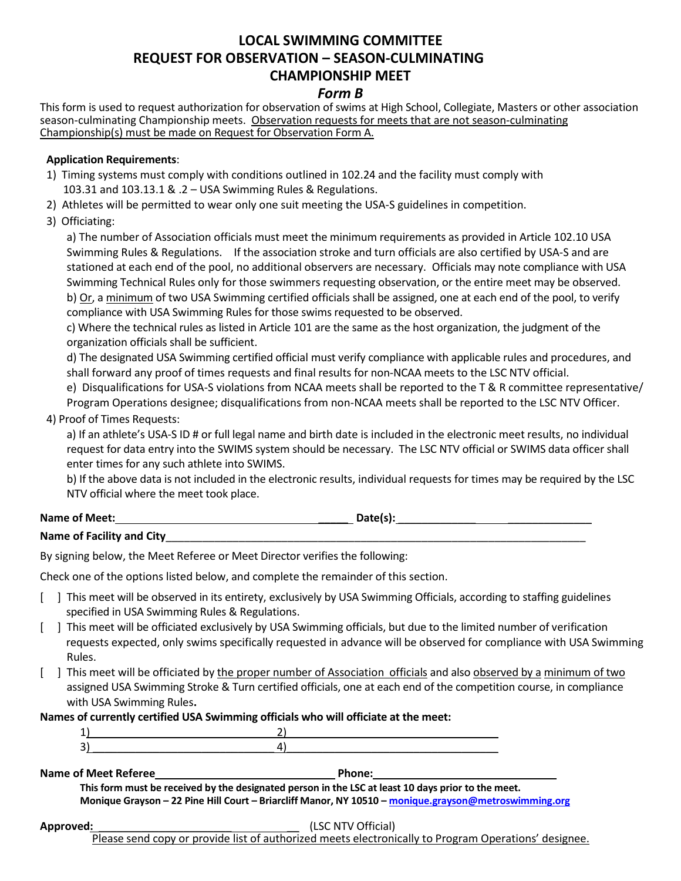# **LOCAL SWIMMING COMMITTEE REQUEST FOR OBSERVATION – SEASON-CULMINATING CHAMPIONSHIP MEET**

#### *Form B*

This form is used to request authorization for observation of swims at High School, Collegiate, Masters or other association season-culminating Championship meets. Observation requests for meets that are not season-culminating Championship(s) must be made on Request for Observation Form A.

#### **Application Requirements**:

- 1) Timing systems must comply with conditions outlined in 102.24 and the facility must comply with 103.31 and 103.13.1 & .2 – USA Swimming Rules & Regulations.
- 2) Athletes will be permitted to wear only one suit meeting the USA-S guidelines in competition.
- 3) Officiating:

a) The number of Association officials must meet the minimum requirements as provided in Article 102.10 USA Swimming Rules & Regulations. If the association stroke and turn officials are also certified by USA-S and are stationed at each end of the pool, no additional observers are necessary. Officials may note compliance with USA Swimming Technical Rules only for those swimmers requesting observation, or the entire meet may be observed. b) Or, a minimum of two USA Swimming certified officials shall be assigned, one at each end of the pool, to verify compliance with USA Swimming Rules for those swims requested to be observed.

c) Where the technical rules as listed in Article 101 are the same as the host organization, the judgment of the organization officials shall be sufficient.

d) The designated USA Swimming certified official must verify compliance with applicable rules and procedures, and shall forward any proof of times requests and final results for non-NCAA meets to the LSC NTV official.

e) Disqualifications for USA-S violations from NCAA meets shall be reported to the T & R committee representative/

Program Operations designee; disqualifications from non-NCAA meets shall be reported to the LSC NTV Officer.

#### 4) Proof of Times Requests:

a) If an athlete's USA-S ID # or full legal name and birth date is included in the electronic meet results, no individual request for data entry into the SWIMS system should be necessary. The LSC NTV official or SWIMS data officer shall enter times for any such athlete into SWIMS.

b) If the above data is not included in the electronic results, individual requests for times may be required by the LSC NTV official where the meet took place.

Name of Meet:  $\qquad \qquad \qquad$  Date(s):

#### **Name of Facility and City**

By signing below, the Meet Referee or Meet Director verifies the following:

Check one of the options listed below, and complete the remainder of this section.

- [ ] This meet will be observed in its entirety, exclusively by USA Swimming Officials, according to staffing guidelines specified in USA Swimming Rules & Regulations.
- [ ] This meet will be officiated exclusively by USA Swimming officials, but due to the limited number of verification requests expected, only swims specifically requested in advance will be observed for compliance with USA Swimming Rules.
- [ ] This meet will be officiated by the proper number of Association officials and also observed by a minimum of two assigned USA Swimming Stroke & Turn certified officials, one at each end of the competition course, in compliance with USA Swimming Rules**.**

**Names of currently certified USA Swimming officials who will officiate at the meet:**

| -<br>-- |  |
|---------|--|

**Name of Meet Referee Phone:** 

**This form must be received by the designated person in the LSC at least 10 days prior to the meet. Monique Grayson – 22 Pine Hill Court – Briarcliff Manor, NY 10510 – [monique.grayson@metroswimming.org](mailto:monique.grayson@metroswimming.org)**

#### **Approved:** \_\_\_\_\_\_\_\_\_\_\_\_\_\_\_\_\_\_\_\_\_\_ \_\_ (LSC NTV Official)

Please send copy or provide list of authorized meets electronically to Program Operations' designee.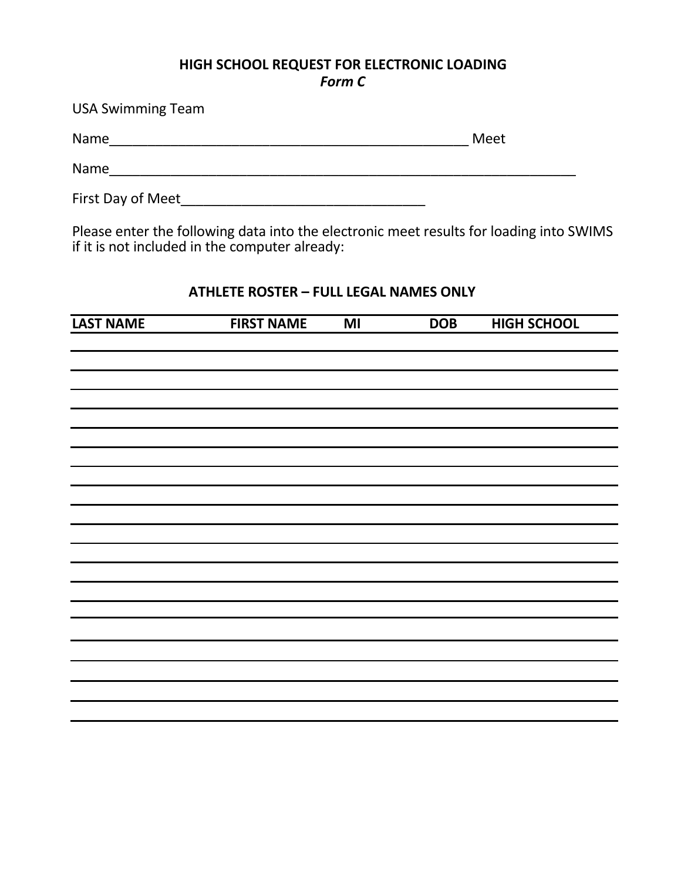### **HIGH SCHOOL REQUEST FOR ELECTRONIC LOADING** *Form C*

USA Swimming Team

Name\_\_\_\_\_\_\_\_\_\_\_\_\_\_\_\_\_\_\_\_\_\_\_\_\_\_\_\_\_\_\_\_\_\_\_\_\_\_\_\_\_\_\_\_\_\_\_ Meet

Name\_\_\_\_\_\_\_\_\_\_\_\_\_\_\_\_\_\_\_\_\_\_\_\_\_\_\_\_\_\_\_\_\_\_\_\_\_\_\_\_\_\_\_\_\_\_\_\_\_\_\_\_\_\_\_\_\_\_\_\_\_

First Day of Meet\_\_\_\_\_\_\_\_\_\_\_\_\_\_\_\_\_\_\_\_\_\_\_\_\_\_\_\_\_\_\_\_

Please enter the following data into the electronic meet results for loading into SWIMS if it is not included in the computer already:

### **ATHLETE ROSTER – FULL LEGAL NAMES ONLY**

| <b>LAST NAME</b> | <b>FIRST NAME</b> | $\overline{M}$ | <b>DOB</b> | <b>HIGH SCHOOL</b> |
|------------------|-------------------|----------------|------------|--------------------|
|                  |                   |                |            |                    |
|                  |                   |                |            |                    |
|                  |                   |                |            |                    |
|                  |                   |                |            |                    |
|                  |                   |                |            |                    |
|                  |                   |                |            |                    |
|                  |                   |                |            |                    |
|                  |                   |                |            |                    |
|                  |                   |                |            |                    |
|                  |                   |                |            |                    |
|                  |                   |                |            |                    |
|                  |                   |                |            |                    |
|                  |                   |                |            |                    |
|                  |                   |                |            |                    |
|                  |                   |                |            |                    |
|                  |                   |                |            |                    |
|                  |                   |                |            |                    |
|                  |                   |                |            |                    |
|                  |                   |                |            |                    |
|                  |                   |                |            |                    |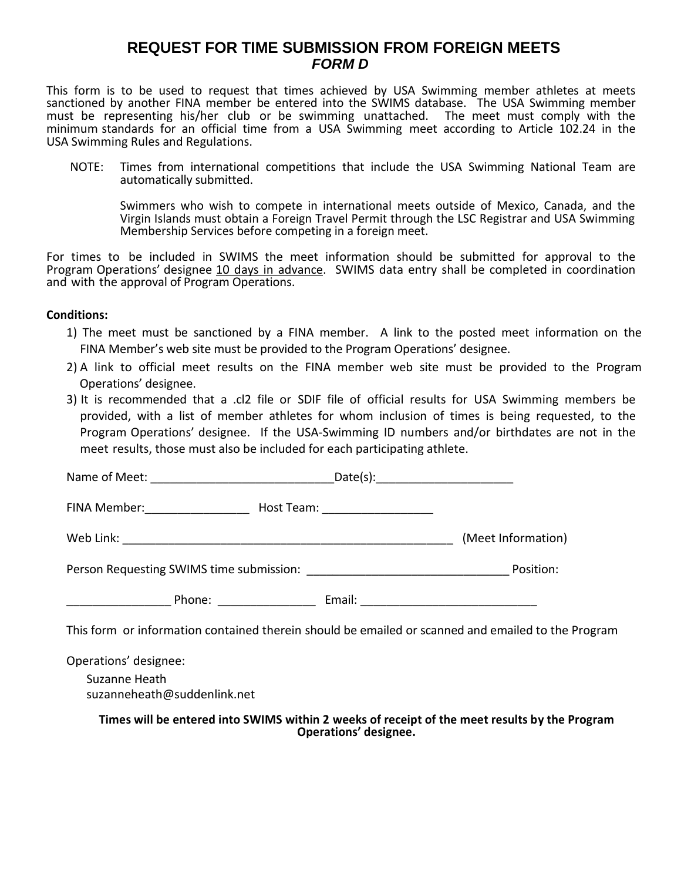### **REQUEST FOR TIME SUBMISSION FROM FOREIGN MEETS** *FORM D*

This form is to be used to request that times achieved by USA Swimming member athletes at meets sanctioned by another FINA member be entered into the SWIMS database. The USA Swimming member must be representing his/her club or be swimming unattached. The meet must comply with the minimum standards for an official time from a USA Swimming meet according to Article 102.24 in the USA Swimming Rules and Regulations.

NOTE: Times from international competitions that include the USA Swimming National Team are automatically submitted.

Swimmers who wish to compete in international meets outside of Mexico, Canada, and the Virgin Islands must obtain a Foreign Travel Permit through the LSC Registrar and USA Swimming Membership Services before competing in a foreign meet.

For times to be included in SWIMS the meet information should be submitted for approval to the Program Operations' designee 10 days in advance. SWIMS data entry shall be completed in coordination and with the approval of Program Operations.

#### **Conditions:**

- 1) The meet must be sanctioned by a FINA member. A link to the posted meet information on the FINA Member's web site must be provided to the Program Operations' designee.
- 2) A link to official meet results on the FINA member web site must be provided to the Program Operations' designee.
- 3) It is recommended that a .cl2 file or SDIF file of official results for USA Swimming members be provided, with a list of member athletes for whom inclusion of times is being requested, to the Program Operations' designee. If the USA-Swimming ID numbers and/or birthdates are not in the meet results, those must also be included for each participating athlete.

| FINA Member: _________________ | Host Team: ___________________ |                    |
|--------------------------------|--------------------------------|--------------------|
|                                |                                | (Meet Information) |
|                                | Position:                      |                    |
| Phone: <u>_______________</u>  |                                |                    |

This form or information contained therein should be emailed or scanned and emailed to the Program

Operations' designee:

Suzanne Heath suzanneheath@suddenlink.net

**Times will be entered into SWIMS within 2 weeks of receipt of the meet results by the Program Operations' designee.**